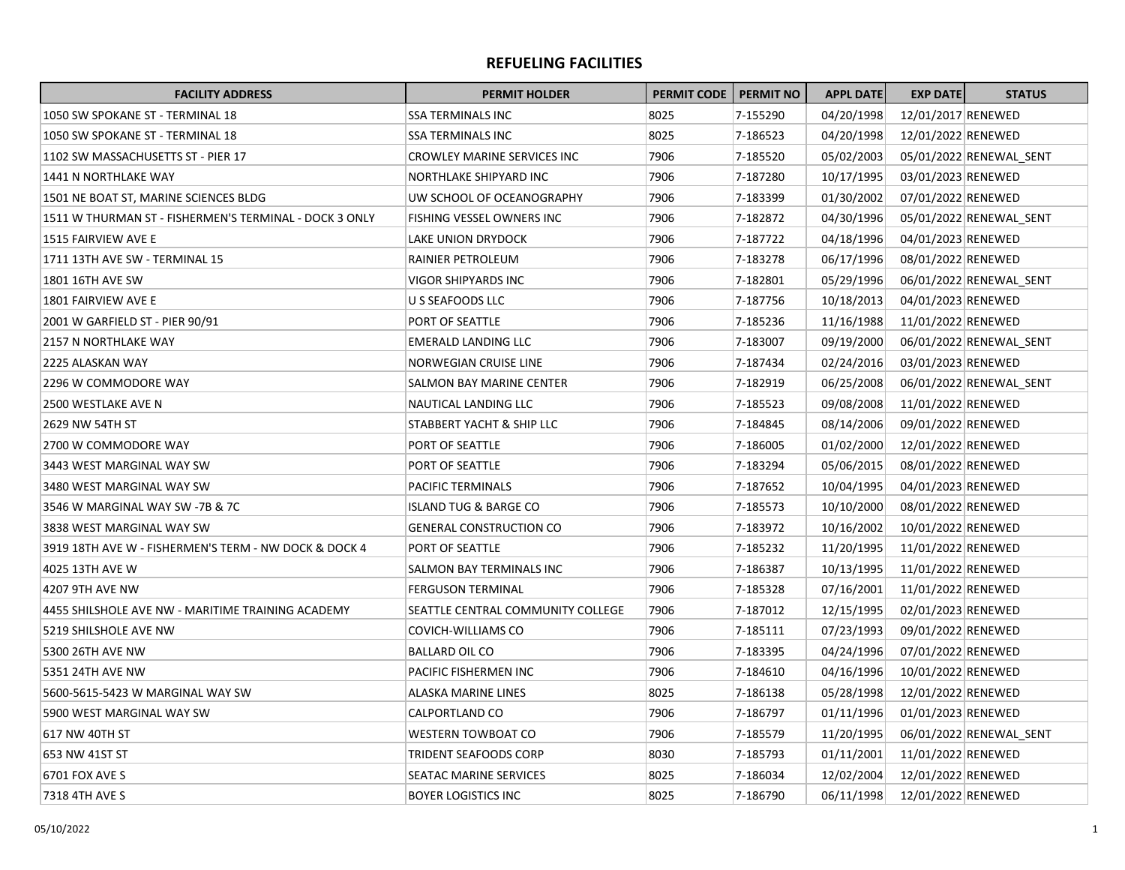## **REFUELING FACILITIES**

| <b>FACILITY ADDRESS</b>                                | <b>PERMIT HOLDER</b>              | <b>PERMIT CODE</b> | <b>PERMIT NO</b> | <b>APPL DATE</b> | <b>EXP DATE</b>    | <b>STATUS</b>           |
|--------------------------------------------------------|-----------------------------------|--------------------|------------------|------------------|--------------------|-------------------------|
| 1050 SW SPOKANE ST - TERMINAL 18                       | <b>SSA TERMINALS INC</b>          | 8025               | 7-155290         | 04/20/1998       | 12/01/2017 RENEWED |                         |
| 1050 SW SPOKANE ST - TERMINAL 18                       | SSA TERMINALS INC                 | 8025               | 7-186523         | 04/20/1998       | 12/01/2022 RENEWED |                         |
| 1102 SW MASSACHUSETTS ST - PIER 17                     | CROWLEY MARINE SERVICES INC       | 7906               | 7-185520         | 05/02/2003       |                    | 05/01/2022 RENEWAL SENT |
| 1441 N NORTHLAKE WAY                                   | NORTHLAKE SHIPYARD INC            | 7906               | 7-187280         | 10/17/1995       | 03/01/2023 RENEWED |                         |
| 1501 NE BOAT ST, MARINE SCIENCES BLDG                  | UW SCHOOL OF OCEANOGRAPHY         | 7906               | 7-183399         | 01/30/2002       | 07/01/2022 RENEWED |                         |
| 1511 W THURMAN ST - FISHERMEN'S TERMINAL - DOCK 3 ONLY | FISHING VESSEL OWNERS INC         | 7906               | 7-182872         | 04/30/1996       |                    | 05/01/2022 RENEWAL SENT |
| 1515 FAIRVIEW AVE E                                    | LAKE UNION DRYDOCK                | 7906               | 7-187722         | 04/18/1996       | 04/01/2023 RENEWED |                         |
| 1711 13TH AVE SW - TERMINAL 15                         | RAINIER PETROLEUM                 | 7906               | 7-183278         | 06/17/1996       | 08/01/2022 RENEWED |                         |
| 1801 16TH AVE SW                                       | VIGOR SHIPYARDS INC               | 7906               | 7-182801         | 05/29/1996       |                    | 06/01/2022 RENEWAL SENT |
| 1801 FAIRVIEW AVE E                                    | U S SEAFOODS LLC                  | 7906               | 7-187756         | 10/18/2013       | 04/01/2023 RENEWED |                         |
| 2001 W GARFIELD ST - PIER 90/91                        | PORT OF SEATTLE                   | 7906               | 7-185236         | 11/16/1988       | 11/01/2022 RENEWED |                         |
| 2157 N NORTHLAKE WAY                                   | EMERALD LANDING LLC               | 7906               | 7-183007         | 09/19/2000       |                    | 06/01/2022 RENEWAL SENT |
| 2225 ALASKAN WAY                                       | NORWEGIAN CRUISE LINE             | 7906               | 7-187434         | 02/24/2016       | 03/01/2023 RENEWED |                         |
| 2296 W COMMODORE WAY                                   | SALMON BAY MARINE CENTER          | 7906               | 7-182919         | 06/25/2008       |                    | 06/01/2022 RENEWAL SENT |
| 2500 WESTLAKE AVE N                                    | NAUTICAL LANDING LLC              | 7906               | 7-185523         | 09/08/2008       | 11/01/2022 RENEWED |                         |
| 2629 NW 54TH ST                                        | STABBERT YACHT & SHIP LLC         | 7906               | 7-184845         | 08/14/2006       | 09/01/2022 RENEWED |                         |
| 2700 W COMMODORE WAY                                   | PORT OF SEATTLE                   | 7906               | 7-186005         | 01/02/2000       | 12/01/2022 RENEWED |                         |
| 3443 WEST MARGINAL WAY SW                              | PORT OF SEATTLE                   | 7906               | 7-183294         | 05/06/2015       | 08/01/2022 RENEWED |                         |
| 3480 WEST MARGINAL WAY SW                              | PACIFIC TERMINALS                 | 7906               | 7-187652         | 10/04/1995       | 04/01/2023 RENEWED |                         |
| 3546 W MARGINAL WAY SW -7B & 7C                        | ISLAND TUG & BARGE CO             | 7906               | 7-185573         | 10/10/2000       | 08/01/2022 RENEWED |                         |
| 3838 WEST MARGINAL WAY SW                              | <b>GENERAL CONSTRUCTION CO</b>    | 7906               | 7-183972         | 10/16/2002       | 10/01/2022 RENEWED |                         |
| 3919 18TH AVE W - FISHERMEN'S TERM - NW DOCK & DOCK 4  | PORT OF SEATTLE                   | 7906               | 7-185232         | 11/20/1995       | 11/01/2022 RENEWED |                         |
| 4025 13TH AVE W                                        | SALMON BAY TERMINALS INC          | 7906               | 7-186387         | 10/13/1995       | 11/01/2022 RENEWED |                         |
| <b>4207 9TH AVE NW</b>                                 | <b>FERGUSON TERMINAL</b>          | 7906               | 7-185328         | 07/16/2001       | 11/01/2022 RENEWED |                         |
| 4455 SHILSHOLE AVE NW - MARITIME TRAINING ACADEMY      | SEATTLE CENTRAL COMMUNITY COLLEGE | 7906               | 7-187012         | 12/15/1995       | 02/01/2023 RENEWED |                         |
| 5219 SHILSHOLE AVE NW                                  | COVICH-WILLIAMS CO                | 7906               | 7-185111         | 07/23/1993       | 09/01/2022 RENEWED |                         |
| 5300 26TH AVE NW                                       | <b>BALLARD OIL CO</b>             | 7906               | 7-183395         | 04/24/1996       | 07/01/2022 RENEWED |                         |
| 5351 24TH AVE NW                                       | PACIFIC FISHERMEN INC             | 7906               | 7-184610         | 04/16/1996       | 10/01/2022 RENEWED |                         |
| 5600-5615-5423 W MARGINAL WAY SW                       | ALASKA MARINE LINES               | 8025               | 7-186138         | 05/28/1998       | 12/01/2022 RENEWED |                         |
| 5900 WEST MARGINAL WAY SW                              | CALPORTLAND CO                    | 7906               | 7-186797         | 01/11/1996       | 01/01/2023 RENEWED |                         |
| 617 NW 40TH ST                                         | <b>WESTERN TOWBOAT CO</b>         | 7906               | 7-185579         | 11/20/1995       |                    | 06/01/2022 RENEWAL_SENT |
| 653 NW 41ST ST                                         | <b>TRIDENT SEAFOODS CORP</b>      | 8030               | 7-185793         | 01/11/2001       | 11/01/2022 RENEWED |                         |
| 6701 FOX AVE S                                         | SEATAC MARINE SERVICES            | 8025               | 7-186034         | 12/02/2004       | 12/01/2022 RENEWED |                         |
| 7318 4TH AVE S                                         | <b>BOYER LOGISTICS INC</b>        | 8025               | 7-186790         | 06/11/1998       | 12/01/2022 RENEWED |                         |